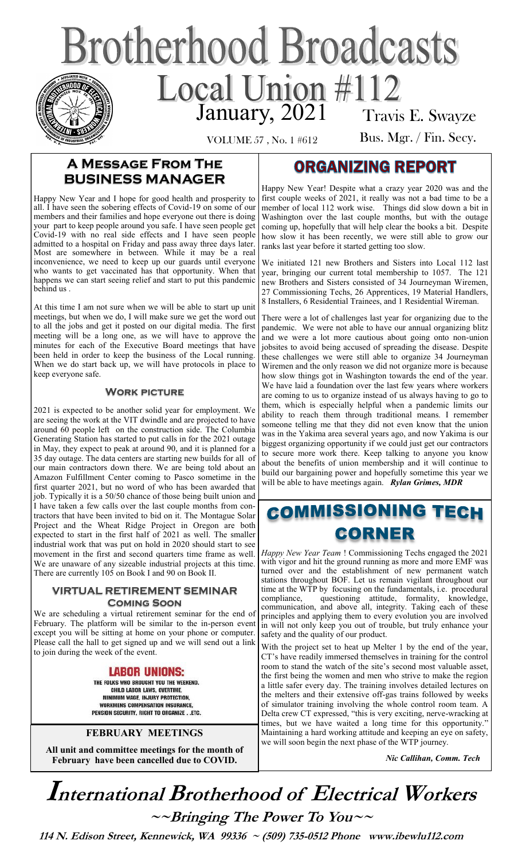# **Brotherhood Broadcasts** Local Union #112 Travis E. Swayze

VOLUME 57 , No. 1 #612

### Bus. Mgr. / Fin. Secy.

### **A Message From The BUSINESS MANAGER**

Happy New Year and I hope for good health and prosperity to all. I have seen the sobering effects of Covid-19 on some of our members and their families and hope everyone out there is doing your part to keep people around you safe. I have seen people get Covid-19 with no real side effects and I have seen people admitted to a hospital on Friday and pass away three days later. Most are somewhere in between. While it may be a real inconvenience, we need to keep up our guards until everyone who wants to get vaccinated has that opportunity. When that happens we can start seeing relief and start to put this pandemic behind us .

At this time I am not sure when we will be able to start up unit meetings, but when we do, I will make sure we get the word out to all the jobs and get it posted on our digital media. The first meeting will be a long one, as we will have to approve the minutes for each of the Executive Board meetings that have been held in order to keep the business of the Local running. When we do start back up, we will have protocols in place to keep everyone safe.

#### **Work picture**

2021 is expected to be another solid year for employment. We are seeing the work at the VIT dwindle and are projected to have around 60 people left on the construction side. The Columbia Generating Station has started to put calls in for the 2021 outage in May, they expect to peak at around 90, and it is planned for a 35 day outage. The data centers are starting new builds for all of our main contractors down there. We are being told about an Amazon Fulfillment Center coming to Pasco sometime in the first quarter 2021, but no word of who has been awarded that job. Typically it is a 50/50 chance of those being built union and I have taken a few calls over the last couple months from contractors that have been invited to bid on it. The Montague Solar Project and the Wheat Ridge Project in Oregon are both expected to start in the first half of 2021 as well. The smaller industrial work that was put on hold in 2020 should start to see movement in the first and second quarters time frame as well. We are unaware of any sizeable industrial projects at this time. There are currently 105 on Book I and 90 on Book II.

#### **VIRTUAL RETIREMENT SEMINAR Coming Soon**

We are scheduling a virtual retirement seminar for the end of February. The platform will be similar to the in-person event except you will be sitting at home on your phone or computer. Please call the hall to get signed up and we will send out a link to join during the week of the event.

#### **LABOR UNIONS:**

THE FOLKS WHO BROUGHT YOU THE WEEKEND. CHILD LABOR LAWS, OVERTIME. MINIMUM WAGE, INJURY PROTECTION, **WORKMENS COMPENSATION INSURANCE,** PENSION SECURITY, RIGHT TO ORGANIZE. ETC.

#### **FEBRUARY MEETINGS**

**All unit and committee meetings for the month of February have been cancelled due to COVID.** 

### **ORGANIZING REPORT**

Happy New Year! Despite what a crazy year 2020 was and the first couple weeks of 2021, it really was not a bad time to be a member of local 112 work wise. Things did slow down a bit in Washington over the last couple months, but with the outage coming up, hopefully that will help clear the books a bit. Despite how slow it has been recently, we were still able to grow our ranks last year before it started getting too slow.

We initiated 121 new Brothers and Sisters into Local 112 last year, bringing our current total membership to 1057. The 121 new Brothers and Sisters consisted of 34 Journeyman Wiremen, 27 Commissioning Techs, 26 Apprentices, 19 Material Handlers, 8 Installers, 6 Residential Trainees, and 1 Residential Wireman.

There were a lot of challenges last year for organizing due to the pandemic. We were not able to have our annual organizing blitz and we were a lot more cautious about going onto non-union jobsites to avoid being accused of spreading the disease. Despite these challenges we were still able to organize 34 Journeyman Wiremen and the only reason we did not organize more is because how slow things got in Washington towards the end of the year. We have laid a foundation over the last few years where workers are coming to us to organize instead of us always having to go to them, which is especially helpful when a pandemic limits our ability to reach them through traditional means. I remember someone telling me that they did not even know that the union was in the Yakima area several years ago, and now Yakima is our biggest organizing opportunity if we could just get our contractors to secure more work there. Keep talking to anyone you know about the benefits of union membership and it will continue to build our bargaining power and hopefully sometime this year we will be able to have meetings again. *Rylan Grimes, MDR*

### **COMMISSIONING TECH CORNER**

*Happy New Year Team* ! Commissioning Techs engaged the 2021 with vigor and hit the ground running as more and more EMF was turned over and the establishment of new permanent watch stations throughout BOF. Let us remain vigilant throughout our time at the WTP by focusing on the fundamentals, i.e. procedural compliance, questioning attitude, formality, knowledge, questioning attitude, formality, knowledge, communication, and above all, integrity. Taking each of these principles and applying them to every evolution you are involved in will not only keep you out of trouble, but truly enhance your safety and the quality of our product.

With the project set to heat up Melter 1 by the end of the year, CT's have readily immersed themselves in training for the control room to stand the watch of the site's second most valuable asset, the first being the women and men who strive to make the region a little safer every day. The training involves detailed lectures on the melters and their extensive off-gas trains followed by weeks of simulator training involving the whole control room team. A Delta crew CT expressed, "this is very exciting, nerve-wracking at times, but we have waited a long time for this opportunity.<sup>"</sup> Maintaining a hard working attitude and keeping an eye on safety, we will soon begin the next phase of the WTP journey.

 *Nic Callihan, Comm. Tech*

## **International Brotherhood of <sup>E</sup>lectrical Workers ~~Bringing The Power To You~~**

 **114 N. Edison Street, Kennewick, WA 99336 ~ (509) 735-0512 Phone www.ibewlu112.com**